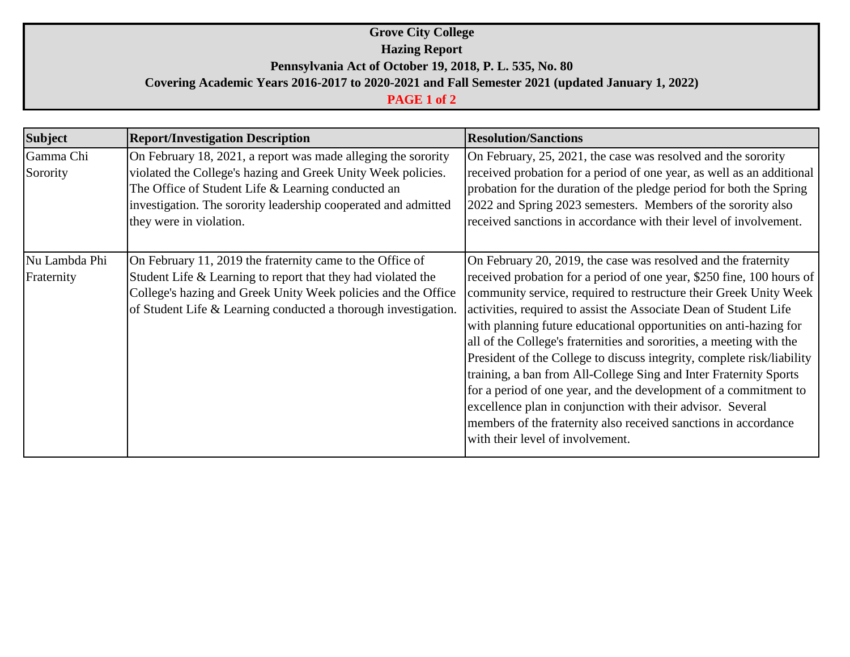## **Grove City College Hazing Report Pennsylvania Act of October 19, 2018, P. L. 535, No. 80 Covering Academic Years 2016-2017 to 2020-2021 and Fall Semester 2021 (updated January 1, 2022)**

## **PAGE 1 of 2**

| <b>Subject</b>              | <b>Report/Investigation Description</b>                                                                                                                                                                                                                                          | <b>Resolution/Sanctions</b>                                                                                                                                                                                                                                                                                                                                                                                                                                                                                                                                                                                                                                                                                                                                                                                            |
|-----------------------------|----------------------------------------------------------------------------------------------------------------------------------------------------------------------------------------------------------------------------------------------------------------------------------|------------------------------------------------------------------------------------------------------------------------------------------------------------------------------------------------------------------------------------------------------------------------------------------------------------------------------------------------------------------------------------------------------------------------------------------------------------------------------------------------------------------------------------------------------------------------------------------------------------------------------------------------------------------------------------------------------------------------------------------------------------------------------------------------------------------------|
| Gamma Chi<br>Sorority       | On February 18, 2021, a report was made alleging the sorority<br>violated the College's hazing and Greek Unity Week policies.<br>The Office of Student Life & Learning conducted an<br>investigation. The sorority leadership cooperated and admitted<br>they were in violation. | On February, 25, 2021, the case was resolved and the sorority<br>received probation for a period of one year, as well as an additional<br>probation for the duration of the pledge period for both the Spring<br>2022 and Spring 2023 semesters. Members of the sorority also<br>received sanctions in accordance with their level of involvement.                                                                                                                                                                                                                                                                                                                                                                                                                                                                     |
| Nu Lambda Phi<br>Fraternity | On February 11, 2019 the fraternity came to the Office of<br>Student Life & Learning to report that they had violated the<br>College's hazing and Greek Unity Week policies and the Office<br>of Student Life & Learning conducted a thorough investigation.                     | On February 20, 2019, the case was resolved and the fraternity<br>received probation for a period of one year, \$250 fine, 100 hours of<br>community service, required to restructure their Greek Unity Week<br>activities, required to assist the Associate Dean of Student Life<br>with planning future educational opportunities on anti-hazing for<br>all of the College's fraternities and sororities, a meeting with the<br>President of the College to discuss integrity, complete risk/liability<br>training, a ban from All-College Sing and Inter Fraternity Sports<br>for a period of one year, and the development of a commitment to<br>excellence plan in conjunction with their advisor. Several<br>members of the fraternity also received sanctions in accordance<br>with their level of involvement. |